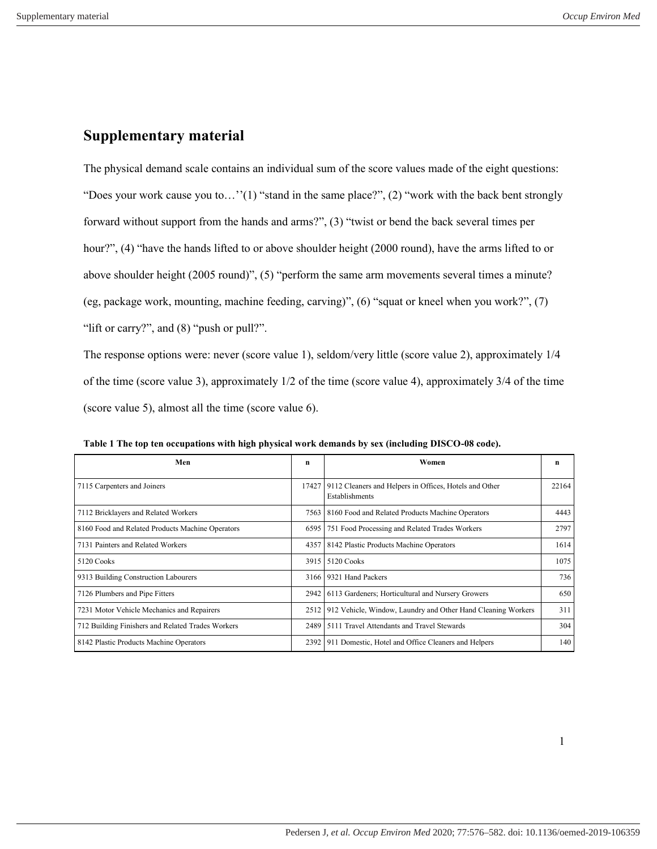## **Supplementary material**

The physical demand scale contains an individual sum of the score values made of the eight questions: "Does your work cause you to…''(1) "stand in the same place?", (2) "work with the back bent strongly forward without support from the hands and arms?", (3) "twist or bend the back several times per hour?", (4) "have the hands lifted to or above shoulder height (2000 round), have the arms lifted to or above shoulder height (2005 round)", (5) "perform the same arm movements several times a minute? (eg, package work, mounting, machine feeding, carving)", (6) "squat or kneel when you work?", (7) "lift or carry?", and (8) "push or pull?".

The response options were: never (score value 1), seldom/very little (score value 2), approximately 1/4 of the time (score value 3), approximately 1/2 of the time (score value 4), approximately 3/4 of the time (score value 5), almost all the time (score value 6).

| Men                                               | n    | Women                                                                                 | n     |
|---------------------------------------------------|------|---------------------------------------------------------------------------------------|-------|
| 7115 Carpenters and Joiners                       |      | 17427 9112 Cleaners and Helpers in Offices, Hotels and Other<br><b>Establishments</b> | 22164 |
| 7112 Bricklayers and Related Workers              |      | 7563   8160 Food and Related Products Machine Operators                               | 4443  |
| 8160 Food and Related Products Machine Operators  | 6595 | 751 Food Processing and Related Trades Workers                                        | 2797  |
| 7131 Painters and Related Workers                 |      | 4357   8142 Plastic Products Machine Operators                                        | 1614  |
| 5120 Cooks                                        |      | 3915   5120 Cooks                                                                     | 1075  |
| 9313 Building Construction Labourers              | 3166 | 9321 Hand Packers                                                                     | 736   |
| 7126 Plumbers and Pipe Fitters                    |      | 2942   6113 Gardeners; Horticultural and Nursery Growers                              | 650   |
| 7231 Motor Vehicle Mechanics and Repairers        | 2512 | 912 Vehicle, Window, Laundry and Other Hand Cleaning Workers                          | 311   |
| 712 Building Finishers and Related Trades Workers | 2489 | 5111 Travel Attendants and Travel Stewards                                            | 304   |
| 8142 Plastic Products Machine Operators           |      | 2392   911 Domestic, Hotel and Office Cleaners and Helpers                            | 140   |

**Table 1 The top ten occupations with high physical work demands by sex (including DISCO-08 code).**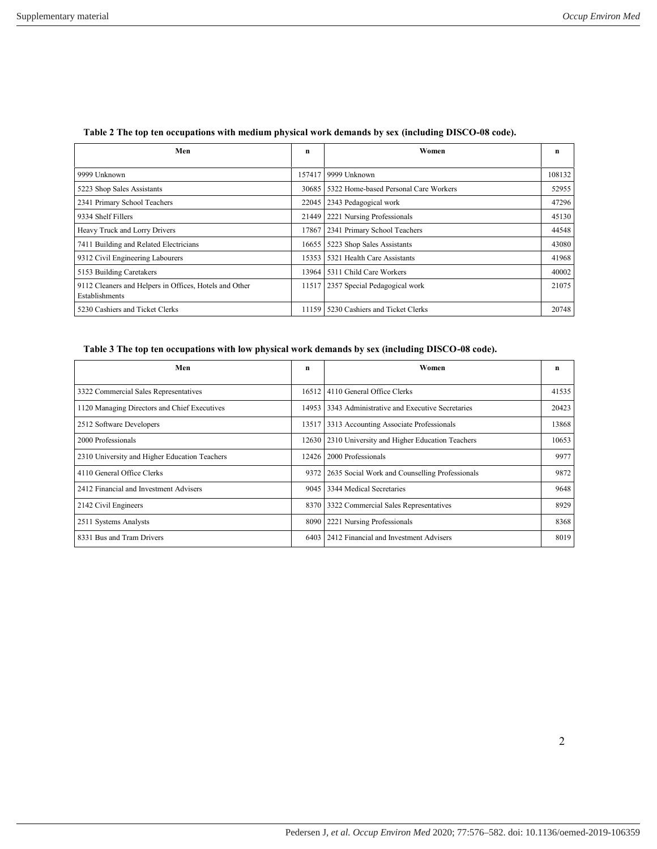| Men                                                                      | n      | Women                                 | n      |
|--------------------------------------------------------------------------|--------|---------------------------------------|--------|
| 9999 Unknown                                                             | 157417 | 9999 Unknown                          | 108132 |
| 5223 Shop Sales Assistants                                               | 30685  | 5322 Home-based Personal Care Workers | 52955  |
| 2341 Primary School Teachers                                             | 22045  | 2343 Pedagogical work                 | 47296  |
| 9334 Shelf Fillers                                                       | 21449  | 2221 Nursing Professionals            | 45130  |
| Heavy Truck and Lorry Drivers                                            | 17867  | 2341 Primary School Teachers          | 44548  |
| 7411 Building and Related Electricians                                   | 16655  | 5223 Shop Sales Assistants            | 43080  |
| 9312 Civil Engineering Labourers                                         | 15353  | 5321 Health Care Assistants           | 41968  |
| 5153 Building Caretakers                                                 | 13964  | 5311 Child Care Workers               | 40002  |
| 9112 Cleaners and Helpers in Offices, Hotels and Other<br>Establishments | 11517  | 2357 Special Pedagogical work         | 21075  |
| 5230 Cashiers and Ticket Clerks                                          | 11159  | 5230 Cashiers and Ticket Clerks       | 20748  |

## **Table 2 The top ten occupations with medium physical work demands by sex (including DISCO-08 code).**

## **Table 3 The top ten occupations with low physical work demands by sex (including DISCO-08 code).**

| Men                                           | n     | Women                                          | n     |
|-----------------------------------------------|-------|------------------------------------------------|-------|
| 3322 Commercial Sales Representatives         | 16512 | 4110 General Office Clerks                     | 41535 |
| 1120 Managing Directors and Chief Executives  | 14953 | 3343 Administrative and Executive Secretaries  | 20423 |
| 2512 Software Developers                      | 13517 | 3313 Accounting Associate Professionals        | 13868 |
| 2000 Professionals                            | 12630 | 2310 University and Higher Education Teachers  | 10653 |
| 2310 University and Higher Education Teachers | 12426 | 2000 Professionals                             | 9977  |
| 4110 General Office Clerks                    | 9372  | 2635 Social Work and Counselling Professionals | 9872  |
| 2412 Financial and Investment Advisers        | 9045  | 3344 Medical Secretaries                       | 9648  |
| 2142 Civil Engineers                          | 8370  | 3322 Commercial Sales Representatives          | 8929  |
| 2511 Systems Analysts                         | 8090  | 2221 Nursing Professionals                     | 8368  |
| 8331 Bus and Tram Drivers                     | 6403  | 2412 Financial and Investment Advisers         | 8019  |